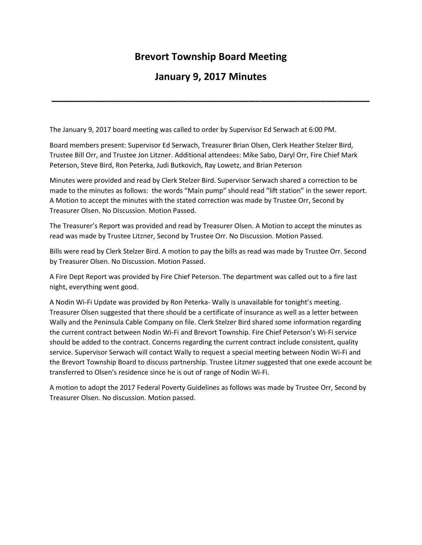## **Brevort Township Board Meeting**

## **January 9, 2017 Minutes**

**\_\_\_\_\_\_\_\_\_\_\_\_\_\_\_\_\_\_\_\_\_\_\_\_\_\_\_\_\_\_\_\_\_\_\_\_\_\_\_\_\_\_\_\_\_\_\_\_\_\_\_\_\_\_\_\_\_\_**

The January 9, 2017 board meeting was called to order by Supervisor Ed Serwach at 6:00 PM.

Board members present: Supervisor Ed Serwach, Treasurer Brian Olsen, Clerk Heather Stelzer Bird, Trustee Bill Orr, and Trustee Jon Litzner. Additional attendees: Mike Sabo, Daryl Orr, Fire Chief Mark Peterson, Steve Bird, Ron Peterka, Judi Butkovich, Ray Lowetz, and Brian Peterson

Minutes were provided and read by Clerk Stelzer Bird. Supervisor Serwach shared a correction to be made to the minutes as follows: the words "Main pump" should read "lift station" in the sewer report. A Motion to accept the minutes with the stated correction was made by Trustee Orr, Second by Treasurer Olsen. No Discussion. Motion Passed.

The Treasurer's Report was provided and read by Treasurer Olsen. A Motion to accept the minutes as read was made by Trustee Litzner, Second by Trustee Orr. No Discussion. Motion Passed.

Bills were read by Clerk Stelzer Bird. A motion to pay the bills as read was made by Trustee Orr. Second by Treasurer Olsen. No Discussion. Motion Passed.

A Fire Dept Report was provided by Fire Chief Peterson. The department was called out to a fire last night, everything went good.

A Nodin Wi-Fi Update was provided by Ron Peterka- Wally is unavailable for tonight's meeting. Treasurer Olsen suggested that there should be a certificate of insurance as well as a letter between Wally and the Peninsula Cable Company on file. Clerk Stelzer Bird shared some information regarding the current contract between Nodin Wi-Fi and Brevort Township. Fire Chief Peterson's Wi-Fi service should be added to the contract. Concerns regarding the current contract include consistent, quality service. Supervisor Serwach will contact Wally to request a special meeting between Nodin Wi-Fi and the Brevort Township Board to discuss partnership. Trustee Litzner suggested that one exede account be transferred to Olsen's residence since he is out of range of Nodin Wi-Fi.

A motion to adopt the 2017 Federal Poverty Guidelines as follows was made by Trustee Orr, Second by Treasurer Olsen. No discussion. Motion passed.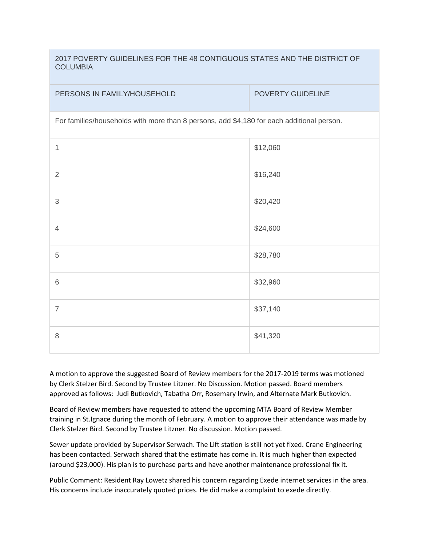2017 POVERTY GUIDELINES FOR THE 48 CONTIGUOUS STATES AND THE DISTRICT OF COLUMBIA

| PERSONS IN FAMILY/HOUSEHOLD                                                               | POVERTY GUIDELINE |
|-------------------------------------------------------------------------------------------|-------------------|
| For families/households with more than 8 persons, add \$4,180 for each additional person. |                   |
| 1                                                                                         | \$12,060          |
| $\overline{2}$                                                                            | \$16,240          |
| $\mathfrak{S}$                                                                            | \$20,420          |
| $\overline{4}$                                                                            | \$24,600          |
| 5                                                                                         | \$28,780          |
| $6\,$                                                                                     | \$32,960          |
| $\overline{7}$                                                                            | \$37,140          |
| $\,8\,$                                                                                   | \$41,320          |

A motion to approve the suggested Board of Review members for the 2017-2019 terms was motioned by Clerk Stelzer Bird. Second by Trustee Litzner. No Discussion. Motion passed. Board members approved as follows: Judi Butkovich, Tabatha Orr, Rosemary Irwin, and Alternate Mark Butkovich.

Board of Review members have requested to attend the upcoming MTA Board of Review Member training in St.Ignace during the month of February. A motion to approve their attendance was made by Clerk Stelzer Bird. Second by Trustee Litzner. No discussion. Motion passed.

Sewer update provided by Supervisor Serwach. The Lift station is still not yet fixed. Crane Engineering has been contacted. Serwach shared that the estimate has come in. It is much higher than expected (around \$23,000). His plan is to purchase parts and have another maintenance professional fix it.

Public Comment: Resident Ray Lowetz shared his concern regarding Exede internet services in the area. His concerns include inaccurately quoted prices. He did make a complaint to exede directly.